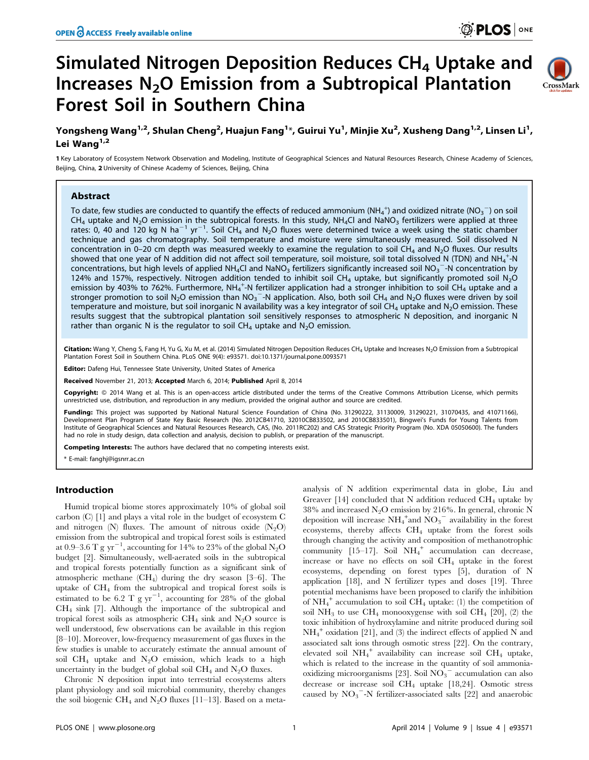# Simulated Nitrogen Deposition Reduces CH<sub>4</sub> Uptake and Increases N2O Emission from a Subtropical Plantation Forest Soil in Southern China



## Yongsheng Wang<sup>1,2</sup>, Shulan Cheng<sup>2</sup>, Huajun Fang<sup>1</sup>\*, Guirui Yu<sup>1</sup>, Minjie Xu<sup>2</sup>, Xusheng Dang<sup>1,2</sup>, Linsen Li<sup>1</sup>, Lei Wang $1,2$

1 Key Laboratory of Ecosystem Network Observation and Modeling, Institute of Geographical Sciences and Natural Resources Research, Chinese Academy of Sciences, Beijing, China, 2 University of Chinese Academy of Sciences, Beijing, China

## Abstract

To date, few studies are conducted to quantify the effects of reduced ammonium (NH<sub>4</sub><sup>+</sup>) and oxidized nitrate (NO<sub>3</sub><sup>-</sup>) on soil  $CH_4$  uptake and N<sub>2</sub>O emission in the subtropical forests. In this study, NH<sub>4</sub>Cl and NaNO<sub>3</sub> fertilizers were applied at three rates: 0, 40 and 120 kg N ha<sup>-1</sup> yr<sup>-1</sup>. Soil CH<sub>4</sub> and N<sub>2</sub>O fluxes were determined twice a week using the static chamber technique and gas chromatography. Soil temperature and moisture were simultaneously measured. Soil dissolved N concentration in 0–20 cm depth was measured weekly to examine the regulation to soil CH<sub>4</sub> and N<sub>2</sub>O fluxes. Our results showed that one year of N addition did not affect soil temperature, soil moisture, soil total dissolved N (TDN) and NH<sub>4</sub><sup>+</sup>-N concentrations, but high levels of applied NH<sub>4</sub>Cl and NaNO<sub>3</sub> fertilizers significantly increased soil NO<sub>3</sub><sup>-</sup>-N concentration by 124% and 157%, respectively. Nitrogen addition tended to inhibit soil CH<sub>4</sub> uptake, but significantly promoted soil N<sub>2</sub>O emission by 403% to 762%. Furthermore, NH<sub>4</sub><sup>+</sup>-N fertilizer application had a stronger inhibition to soil CH<sub>4</sub> uptake and a stronger promotion to soil N<sub>2</sub>O emission than NO<sub>3</sub><sup>-</sup>-N application. Also, both soil CH<sub>4</sub> and N<sub>2</sub>O fluxes were driven by soil temperature and moisture, but soil inorganic N availability was a key integrator of soil CH<sub>4</sub> uptake and N<sub>2</sub>O emission. These results suggest that the subtropical plantation soil sensitively responses to atmospheric N deposition, and inorganic N rather than organic N is the regulator to soil  $CH_4$  uptake and  $N_2O$  emission.

Citation: Wang Y, Cheng S, Fang H, Yu G, Xu M, et al. (2014) Simulated Nitrogen Deposition Reduces CH<sub>4</sub> Uptake and Increases N<sub>2</sub>O Emission from a Subtropical Plantation Forest Soil in Southern China. PLoS ONE 9(4): e93571. doi:10.1371/journal.pone.0093571

Editor: Dafeng Hui, Tennessee State University, United States of America

Received November 21, 2013; Accepted March 6, 2014; Published April 8, 2014

Copyright: © 2014 Wang et al. This is an open-access article distributed under the terms of the [Creative Commons Attribution License](http://creativecommons.org/licenses/by/4.0/), which permits unrestricted use, distribution, and reproduction in any medium, provided the original author and source are credited.

Funding: This project was supported by National Natural Science Foundation of China (No. 31290222, 31130009, 31290221, 31070435, and 41071166), Development Plan Program of State Key Basic Research (No. 2012CB41710, 32010CB833502, and 2010CB833501), Bingwei's Funds for Young Talents from Institute of Geographical Sciences and Natural Resources Research, CAS, (No. 2011RC202) and CAS Strategic Priority Program (No. XDA 05050600). The funders had no role in study design, data collection and analysis, decision to publish, or preparation of the manuscript.

Competing Interests: The authors have declared that no competing interests exist.

\* E-mail: fanghj@igsnrr.ac.cn

#### Introduction

Humid tropical biome stores approximately 10% of global soil carbon (C) [1] and plays a vital role in the budget of ecosystem C and nitrogen  $(N)$  fluxes. The amount of nitrous oxide  $(N_2O)$ emission from the subtropical and tropical forest soils is estimated at 0.9–3.6 T g yr<sup>-1</sup>, accounting for 14% to 23% of the global N<sub>2</sub>O budget [2]. Simultaneously, well-aerated soils in the subtropical and tropical forests potentially function as a significant sink of atmospheric methane  $(CH<sub>4</sub>)$  during the dry season [3–6]. The uptake of CH4 from the subtropical and tropical forest soils is estimated to be 6.2 T g  $yr^{-1}$ , accounting for 28% of the global CH4 sink [7]. Although the importance of the subtropical and tropical forest soils as atmospheric CH<sub>4</sub> sink and N<sub>2</sub>O source is well understood, few observations can be available in this region [8–10]. Moreover, low-frequency measurement of gas fluxes in the few studies is unable to accurately estimate the annual amount of soil  $CH_4$  uptake and  $N_2O$  emission, which leads to a high uncertainty in the budget of global soil  $\rm CH_4$  and  $\rm N_2O$  fluxes.

Chronic N deposition input into terrestrial ecosystems alters plant physiology and soil microbial community, thereby changes the soil biogenic CH<sub>4</sub> and N<sub>2</sub>O fluxes [11–13]. Based on a metaanalysis of N addition experimental data in globe, Liu and Greaver [14] concluded that N addition reduced  $CH_4$  uptake by 38% and increased  $N_2O$  emission by 216%. In general, chronic N deposition will increase  $NH_4^+$  and  $NO_3^-$  availability in the forest ecosystems, thereby affects CH4 uptake from the forest soils through changing the activity and composition of methanotrophic community  $[15-17]$ . Soil  $NH_4^+$  accumulation can decrease, increase or have no effects on soil CH4 uptake in the forest ecosystems, depending on forest types [5], duration of N application [18], and N fertilizer types and doses [19]. Three potential mechanisms have been proposed to clarify the inhibition of  $NH_4^+$  accumulation to soil  $CH_4$  uptake: (1) the competition of soil  $NH_3$  to use  $CH_4$  monooxygense with soil  $CH_4$  [20], (2) the toxic inhibition of hydroxylamine and nitrite produced during soil  $NH_4^+$  oxidation [21], and (3) the indirect effects of applied N and associated salt ions through osmotic stress [22]. On the contrary, elevated soil NH4 <sup>+</sup> availability can increase soil CH4 uptake, which is related to the increase in the quantity of soil ammoniaoxidizing microorganisms [23]. Soil  $\overline{NO_3}^-$  accumulation can also decrease or increase soil  $CH_4$  uptake [18,24]. Osmotic stress caused by  $NO_3$ <sup>-</sup>-N fertilizer-associated salts [22] and anaerobic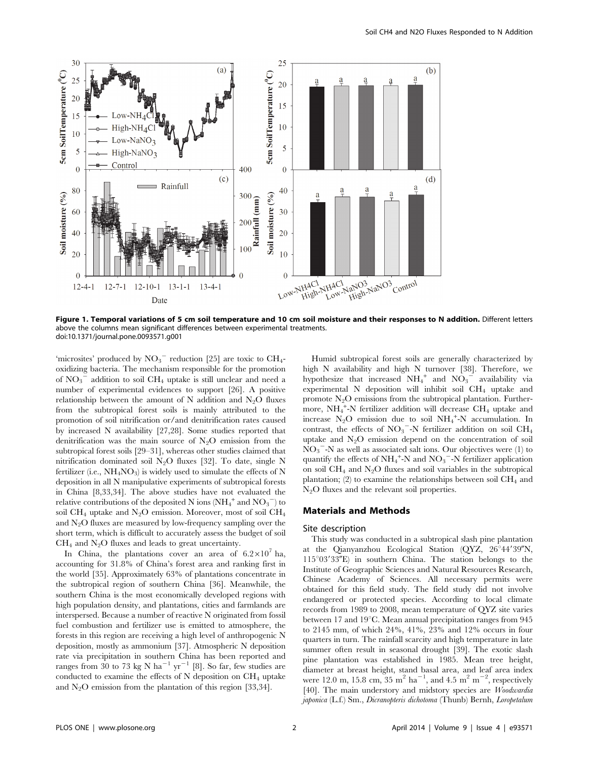

Figure 1. Temporal variations of 5 cm soil temperature and 10 cm soil moisture and their responses to N addition. Different letters above the columns mean significant differences between experimental treatments. doi:10.1371/journal.pone.0093571.g001

'microsites' produced by  $\mathrm{NO_3}^-$  reduction [25] are toxic to  $\mathrm{CH}_4$ oxidizing bacteria. The mechanism responsible for the promotion of  $NO_3$ <sup> $\sim$ </sup> addition to soil CH<sub>4</sub> uptake is still unclear and need a number of experimental evidences to support [26]. A positive relationship between the amount of N addition and  $N_2O$  fluxes from the subtropical forest soils is mainly attributed to the promotion of soil nitrification or/and denitrification rates caused by increased N availability [27,28]. Some studies reported that denitrification was the main source of  $N_2O$  emission from the subtropical forest soils [29–31], whereas other studies claimed that nitrification dominated soil  $N_2O$  fluxes [32]. To date, single N fertilizer (i.e.,  $NH<sub>4</sub>NO<sub>3</sub>$ ) is widely used to simulate the effects of N deposition in all N manipulative experiments of subtropical forests in China [8,33,34]. The above studies have not evaluated the relative contributions of the deposited N ions ( $\mathrm{NH_4}^+$  and  $\mathrm{NO_3}^-$ ) to soil CH<sub>4</sub> uptake and N<sub>2</sub>O emission. Moreover, most of soil CH<sub>4</sub> and  $N_2O$  fluxes are measured by low-frequency sampling over the short term, which is difficult to accurately assess the budget of soil  $CH<sub>4</sub>$  and N<sub>2</sub>O fluxes and leads to great uncertainty.

In China, the plantations cover an area of  $6.2 \times 10^7$  ha, accounting for 31.8% of China's forest area and ranking first in the world [35]. Approximately 63% of plantations concentrate in the subtropical region of southern China [36]. Meanwhile, the southern China is the most economically developed regions with high population density, and plantations, cities and farmlands are interspersed. Because a number of reactive N originated from fossil fuel combustion and fertilizer use is emitted to atmosphere, the forests in this region are receiving a high level of anthropogenic N deposition, mostly as ammonium [37]. Atmospheric N deposition rate via precipitation in southern China has been reported and ranges from 30 to 73 kg N ha<sup>-1</sup> yr<sup>-1</sup> [8]. So far, few studies are conducted to examine the effects of  $N$  deposition on  $CH_4$  uptake and  $N<sub>2</sub>O$  emission from the plantation of this region [33,34].

Humid subtropical forest soils are generally characterized by high N availability and high N turnover [38]. Therefore, we hypothesize that increased  $NH_4^+$  and  $NO_3^-$  availability via experimental N deposition will inhibit soil  $CH<sub>4</sub>$  uptake and promote  $N_2O$  emissions from the subtropical plantation. Furthermore,  $NH_4^+$ -N fertilizer addition will decrease CH<sub>4</sub> uptake and increase  $N_2O$  emission due to soil  $NH_4^+$ -N accumulation. In contrast, the effects of  $NO_3$ <sup>-</sup>-N fertilizer addition on soil CH<sub>4</sub> uptake and  $N_2O$  emission depend on the concentration of soil  $\overline{{\rm NO}_3}$  -N as well as associated salt ions. Our objectives were (1) to quantify the effects of  $\mathrm{NH_4}^+$ -N and  $\mathrm{NO_3}^-$ -N fertilizer application on soil  $CH_4$  and  $N_2O$  fluxes and soil variables in the subtropical plantation; (2) to examine the relationships between soil  $\text{CH}_4$  and N2O fluxes and the relevant soil properties.

#### Materials and Methods

#### Site description

This study was conducted in a subtropical slash pine plantation at the Qianyanzhou Ecological Station (QYZ, 26°44'39"N,  $115^{\circ}03'33''$ E) in southern China. The station belongs to the Institute of Geographic Sciences and Natural Resources Research, Chinese Academy of Sciences. All necessary permits were obtained for this field study. The field study did not involve endangered or protected species. According to local climate records from 1989 to 2008, mean temperature of QYZ site varies between 17 and 19 $^{\circ}$ C. Mean annual precipitation ranges from 945 to 2145 mm, of which 24%, 41%, 23% and 12% occurs in four quarters in turn. The rainfall scarcity and high temperature in late summer often result in seasonal drought [39]. The exotic slash pine plantation was established in 1985. Mean tree height, diameter at breast height, stand basal area, and leaf area index were 12.0 m, 15.8 cm,  $35 \text{ m}^2 \text{ ha}^{-1}$ , and  $4.5 \text{ m}^2 \text{ m}^{-2}$ , respectively [40]. The main understory and midstory species are *Woodwardia* japonica (L.f.) Sm., Dicranopteris dichotoma (Thunb) Bernh, Loropetalum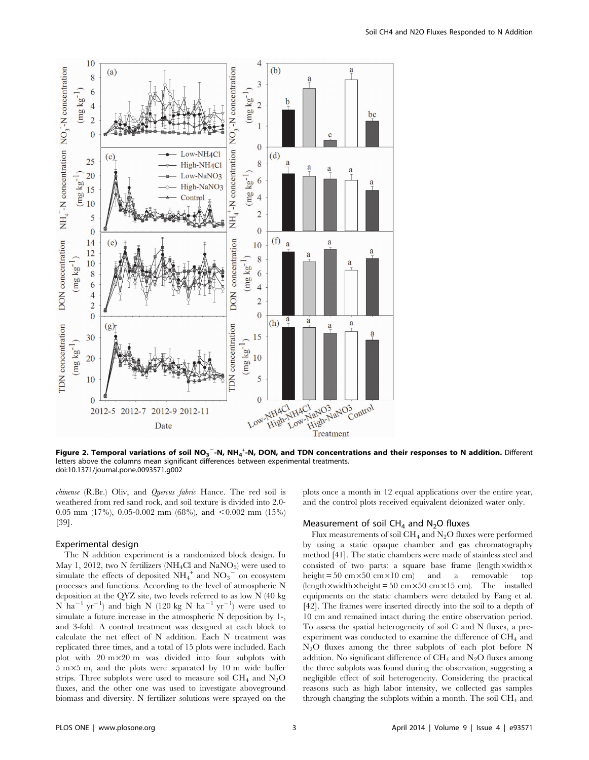

Figure 2. Temporal variations of soil NO<sub>3</sub><sup>-</sup>-N, NH<sub>4</sub><sup>+</sup>-N, DON, and TDN concentrations and their responses to N addition. Different letters above the columns mean significant differences between experimental treatments. doi:10.1371/journal.pone.0093571.g002

chinense (R.Br.) Oliv, and Quercus fabric Hance. The red soil is weathered from red sand rock, and soil texture is divided into 2.0- 0.05 mm (17%), 0.05-0.002 mm (68%), and  $\leq$  0.002 mm (15%) [39].

#### Experimental design

The N addition experiment is a randomized block design. In May 1, 2012, two N fertilizers (NH<sub>4</sub>Cl and NaNO<sub>3</sub>) were used to simulate the effects of deposited  $NH_4^+$  and  $NO_3^-$  on ecosystem processes and functions. According to the level of atmospheric N deposition at the QYZ site, two levels referred to as low N (40 kg  $N$  ha<sup>-1</sup> yr<sup>-1</sup>) and high N (120 kg N ha<sup>-1</sup> yr<sup>-1</sup>) were used to simulate a future increase in the atmospheric N deposition by 1-, and 3-fold. A control treatment was designed at each block to calculate the net effect of N addition. Each N treatment was replicated three times, and a total of 15 plots were included. Each plot with  $20 \text{ m} \times 20 \text{ m}$  was divided into four subplots with  $5 \text{ m} \times 5 \text{ m}$ , and the plots were separated by 10 m wide buffer strips. Three subplots were used to measure soil  $CH_4$  and  $N_2O$ fluxes, and the other one was used to investigate aboveground biomass and diversity. N fertilizer solutions were sprayed on the plots once a month in 12 equal applications over the entire year, and the control plots received equivalent deionized water only.

## Measurement of soil  $CH<sub>4</sub>$  and N<sub>2</sub>O fluxes

Flux measurements of soil  $CH_4$  and  $N_2O$  fluxes were performed by using a static opaque chamber and gas chromatography method [41]. The static chambers were made of stainless steel and consisted of two parts: a square base frame (length  $\times$  width  $\times$ height =  $50 \text{ cm} \times 50 \text{ cm} \times 10 \text{ cm}$  and a removable top (length  $\times$  width  $\times$  height = 50 cm $\times$ 50 cm $\times$ 15 cm). The installed equipments on the static chambers were detailed by Fang et al. [42]. The frames were inserted directly into the soil to a depth of 10 cm and remained intact during the entire observation period. To assess the spatial heterogeneity of soil C and N fluxes, a preexperiment was conducted to examine the difference of  $CH<sub>4</sub>$  and  $N_2$ O fluxes among the three subplots of each plot before N addition. No significant difference of  $CH_4$  and  $N_2O$  fluxes among the three subplots was found during the observation, suggesting a negligible effect of soil heterogeneity. Considering the practical reasons such as high labor intensity, we collected gas samples through changing the subplots within a month. The soil  $CH<sub>4</sub>$  and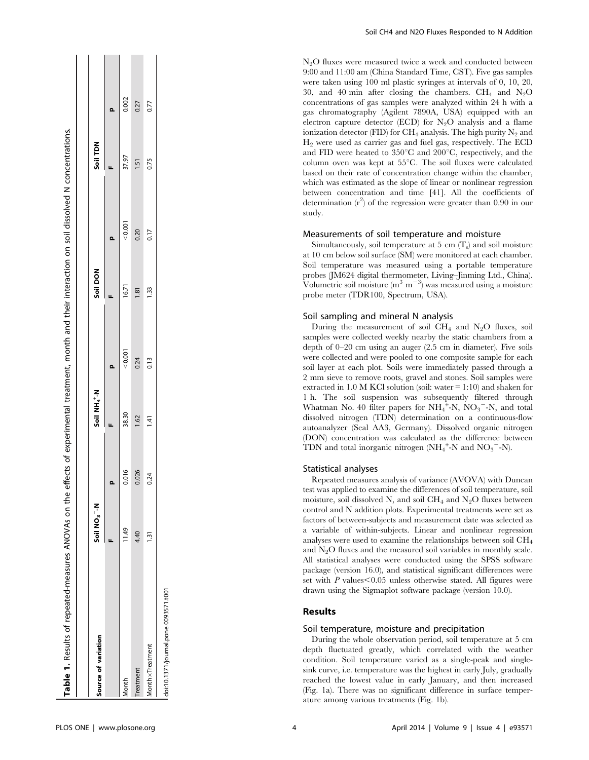| Table 1. Results of repeated-measures ANOVAs on the |                         |       |                          |         |                  | effects of experimental treatment, month and their interaction on soil dissolved N concentrations. |          |       |
|-----------------------------------------------------|-------------------------|-------|--------------------------|---------|------------------|----------------------------------------------------------------------------------------------------|----------|-------|
| Source of variation                                 | Soil NO <sub>3</sub> -N |       | Soil NH4 <sup>+</sup> -N |         | Soil DON         |                                                                                                    | Soil TDN |       |
|                                                     |                         | o     |                          |         |                  | o                                                                                                  |          | o     |
| Month                                               | 11.49                   | 0.016 | 38.30                    | < 0.001 | 16.71            | 0.001                                                                                              | 37.97    | 0.002 |
| Treatment                                           | 4.40                    | 0.026 | 1.62                     | 0.24    | $\frac{1.81}{2}$ | 0.20                                                                                               | 1.51     | 0.27  |
| MonthxTreatment                                     | ה<br>י                  | 0.24  | 1.41                     | 0.13    | 1.33             | 0.17                                                                                               | 0.75     | 0.77  |
| doi:10.1371/journal.pone.0093571.t001               |                         |       |                          |         |                  |                                                                                                    |          |       |

 $\mathbf{r}$ 

ł

**The Community** 

 $N<sub>2</sub>O$  fluxes were measured twice a week and conducted between 9:00 and 11:00 am (China Standard Time, CST). Five gas samples were taken using 100 ml plastic syringes at intervals of 0, 10, 20, 30, and 40 min after closing the chambers.  $CH_4$  and  $N_2O$ concentrations of gas samples were analyzed within 24 h with a gas chromatography (Agilent 7890A, USA) equipped with an electron capture detector (ECD) for  $N_2O$  analysis and a flame ionization detector (FID) for  $\rm CH_4$  analysis. The high purity  $\rm N_2$  and  $H<sub>2</sub>$  were used as carrier gas and fuel gas, respectively. The ECD and FID were heated to  $350^{\circ}$ C and  $200^{\circ}$ C, respectively, and the column oven was kept at  $55^{\circ}$ C. The soil fluxes were calculated based on their rate of concentration change within the chamber, which was estimated as the slope of linear or nonlinear regression between concentration and time [41]. All the coefficients of determination  $(r^2)$  of the regression were greater than 0.90 in our study.

## Measurements of soil temperature and moisture

Simultaneously, soil temperature at 5 cm  $(T_s)$  and soil moisture at 10 cm below soil surface (SM) were monitored at each chamber. Soil temperature was measured using a portable temperature probes (JM624 digital thermometer, Living–Jinming Ltd., China). Volumetric soil moisture  $(m^3 m^{-3})$  was measured using a moisture probe meter (TDR100, Spectrum, USA).

## Soil sampling and mineral N analysis

During the measurement of soil  $CH_4$  and N<sub>2</sub>O fluxes, soil samples were collected weekly nearby the static chambers from a depth of 0–20 cm using an auger (2.5 cm in diameter). Five soils were collected and were pooled to one composite sample for each soil layer at each plot. Soils were immediately passed through a 2 mm sieve to remove roots, gravel and stones. Soil samples were extracted in 1.0 M KCl solution (soil: water  $= 1:10$ ) and shaken for 1 h. The soil suspension was subsequently filtered through Whatman No. 40 filter papers for  $NH_4^+$ -N,  $NO_3^-$ -N, and total dissolved nitrogen (TDN) determination on a continuous-flow autoanalyzer (Seal AA3, Germany). Dissolved organic nitrogen (DON) concentration was calculated as the difference between TDN and total inorganic nitrogen  $(NH_4^{\text{ +}}-N)$  and  $NO_3^{\text{--}}-N$ ).

## Statistical analyses

Repeated measures analysis of variance (AVOVA) with Duncan test was applied to examine the differences of soil temperature, soil moisture, soil dissolved N, and soil CH<sub>4</sub> and N<sub>2</sub>O fluxes between control and N addition plots. Experimental treatments were set as factors of between-subjects and measurement date was selected as a variable of within-subjects. Linear and nonlinear regression analyses were used to examine the relationships between soil  $\text{CH}_4$ and  $N<sub>2</sub>O$  fluxes and the measured soil variables in monthly scale. All statistical analyses were conducted using the SPSS software package (version 16.0), and statistical significant differences were set with  $P$  values $\leq 0.05$  unless otherwise stated. All figures were drawn using the Sigmaplot software package (version 10.0).

## Results

#### Soil temperature, moisture and precipitation

During the whole observation period, soil temperature at 5 cm depth fluctuated greatly, which correlated with the weather condition. Soil temperature varied as a single-peak and singlesink curve, i.e. temperature was the highest in early July, gradually reached the lowest value in early January, and then increased (Fig. 1a). There was no significant difference in surface temperature among various treatments (Fig. 1b).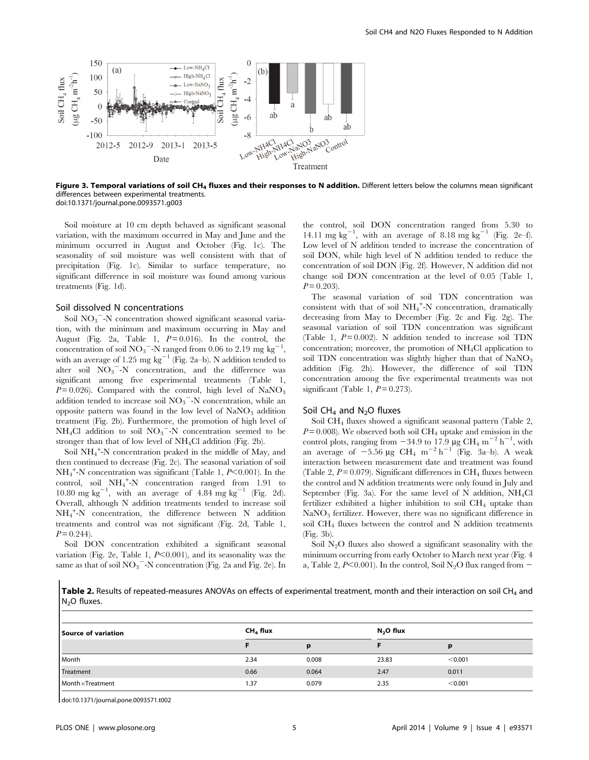

Figure 3. Temporal variations of soil CH<sub>4</sub> fluxes and their responses to N addition. Different letters below the columns mean significant differences between experimental treatments. doi:10.1371/journal.pone.0093571.g003

Soil moisture at 10 cm depth behaved as significant seasonal variation, with the maximum occurred in May and June and the minimum occurred in August and October (Fig. 1c). The seasonality of soil moisture was well consistent with that of precipitation (Fig. 1c). Similar to surface temperature, no significant difference in soil moisture was found among various treatments (Fig. 1d).

#### Soil dissolved N concentrations

Soil  $NO<sub>3</sub>$ <sup>-</sup>-N concentration showed significant seasonal variation, with the minimum and maximum occurring in May and August (Fig. 2a, Table 1,  $P=0.016$ ). In the control, the concentration of soil  $NO_3$ <sup>-</sup>-N ranged from 0.06 to 2.19 mg kg<sup>-1</sup>, with an average of 1.25 mg  $kg^{-1}$  (Fig. 2a–b). N addition tended to alter soil  $\overline{NO_3}^-$ -N concentration, and the difference was significant among five experimental treatments (Table 1,  $P=0.026$ ). Compared with the control, high level of NaNO<sub>3</sub> addition tended to increase soil  $NO<sub>3</sub><sup>-</sup>-N$  concentration, while an opposite pattern was found in the low level of  $\text{NaNO}_3$  addition treatment (Fig. 2b). Furthermore, the promotion of high level of  $NH<sub>4</sub>Cl$  addition to soil  $NO<sub>3</sub><sup>-</sup>-N$  concentration seemed to be stronger than that of low level of NH4Cl addition (Fig. 2b).

Soil NH<sub>4</sub><sup>+</sup>-N concentration peaked in the middle of May, and then continued to decrease (Fig. 2c). The seasonal variation of soil  $NH_4^+$ -N concentration was significant (Table 1,  $P<0.001$ ). In the control, soil NH4 + -N concentration ranged from 1.91 to 10.80 mg  $\text{kg}^{-1}$ , with an average of 4.84 mg  $\text{kg}^{-1}$  (Fig. 2d). Overall, although N addition treatments tended to increase soil NH4 + -N concentration, the difference between N addition treatments and control was not significant (Fig. 2d, Table 1,  $P = 0.244$ .

Soil DON concentration exhibited a significant seasonal variation (Fig. 2e, Table 1,  $P<0.001$ ), and its seasonality was the same as that of soil  $\overline{{\rm NO}_3}^{-1}$  concentration (Fig. 2a and Fig. 2e). In the control, soil DON concentration ranged from 5.30 to 14.11 mg  $\text{kg}^{-1}$ , with an average of 8.18 mg  $\text{kg}^{-1}$  (Fig. 2e-f). Low level of N addition tended to increase the concentration of soil DON, while high level of N addition tended to reduce the concentration of soil DON (Fig. 2f). However, N addition did not change soil DON concentration at the level of 0.05 (Table 1,  $P = 0.203$ .

The seasonal variation of soil TDN concentration was consistent with that of soil  $NH_4^+$ -N concentration, dramatically decreasing from May to December (Fig. 2c and Fig. 2g). The seasonal variation of soil TDN concentration was significant (Table 1,  $P = 0.002$ ). N addition tended to increase soil TDN concentration; moreover, the promotion of NH4Cl application to soil TDN concentration was slightly higher than that of  $\text{NaNO}_3$ addition (Fig. 2h). However, the difference of soil TDN concentration among the five experimental treatments was not significant (Table 1,  $P = 0.273$ ).

#### Soil  $CH<sub>4</sub>$  and N<sub>2</sub>O fluxes

Soil CH4 fluxes showed a significant seasonal pattern (Table 2,  $P = 0.008$ ). We observed both soil CH<sub>4</sub> uptake and emission in the control plots, ranging from  $-34.9$  to 17.9 µg CH<sub>4</sub> m<sup>-2</sup> h<sup>-1</sup>, with an average of  $-5.56 \mu g$  CH<sub>4</sub> m<sup>-2</sup> h<sup>-1</sup> (Fig. 3a–b). A weak interaction between measurement date and treatment was found (Table 2,  $P = 0.079$ ). Significant differences in CH<sub>4</sub> fluxes between the control and N addition treatments were only found in July and September (Fig. 3a). For the same level of N addition,  $NH<sub>4</sub>Cl$ fertilizer exhibited a higher inhibition to soil  $CH_4$  uptake than NaNO<sub>3</sub> fertilizer. However, there was no significant difference in soil  $CH_4$  fluxes between the control and N addition treatments (Fig. 3b).

Soil  $N<sub>2</sub>O$  fluxes also showed a significant seasonality with the minimum occurring from early October to March next year (Fig. 4 a, Table 2,  $P<0.001$ ). In the control, Soil N<sub>2</sub>O flux ranged from -

Table 2. Results of repeated-measures ANOVAs on effects of experimental treatment, month and their interaction on soil CH<sub>4</sub> and N<sub>2</sub>O fluxes.

| Source of variation | CH <sub>4</sub> flux |       |       |         |
|---------------------|----------------------|-------|-------|---------|
|                     |                      |       |       | р       |
| Month               | 2.34                 | 0.008 | 23.83 | < 0.001 |
| Treatment           | 0.66                 | 0.064 | 2.47  | 0.011   |
| Month x Treatment   | 1.37                 | 0.079 | 2.35  | < 0.001 |

doi:10.1371/journal.pone.0093571.t002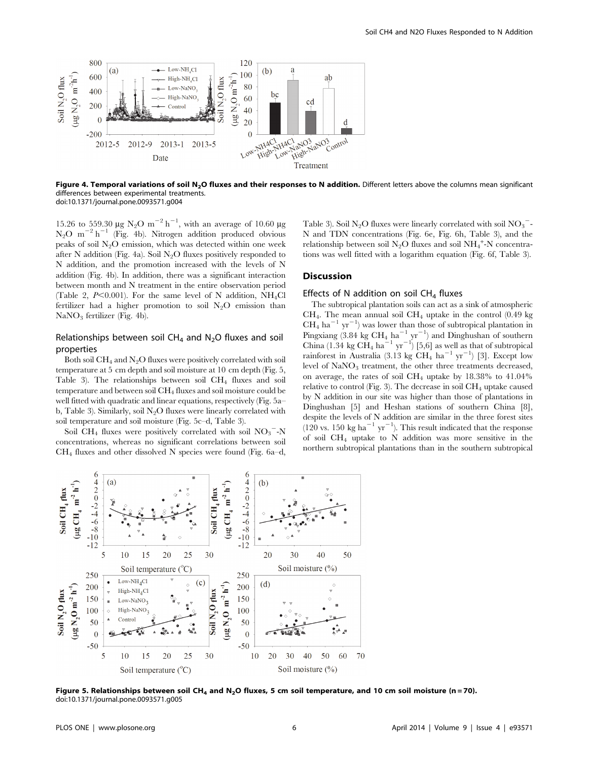

Figure 4. Temporal variations of soil N<sub>2</sub>O fluxes and their responses to N addition. Different letters above the columns mean significant differences between experimental treatments. doi:10.1371/journal.pone.0093571.g004

15.26 to 559.30  $\mu$ g N<sub>2</sub>O m<sup>-2</sup> h<sup>-1</sup>, with an average of 10.60  $\mu$ g  $N_2O$  m<sup>-2</sup> h<sup>-1</sup> (Fig. 4b). Nitrogen addition produced obvious peaks of soil  $N<sub>2</sub>O$  emission, which was detected within one week after N addition (Fig. 4a). Soil  $N_2O$  fluxes positively responded to N addition, and the promotion increased with the levels of N addition (Fig. 4b). In addition, there was a significant interaction between month and N treatment in the entire observation period (Table 2,  $P<0.001$ ). For the same level of N addition, NH<sub>4</sub>Cl fertilizer had a higher promotion to soil  $N_2O$  emission than  $NaNO<sub>3</sub>$  fertilizer (Fig. 4b).

## Relationships between soil  $CH_4$  and  $N_2O$  fluxes and soil properties

Both soil  $CH_4$  and  $N_2O$  fluxes were positively correlated with soil temperature at 5 cm depth and soil moisture at 10 cm depth (Fig. 5, Table 3). The relationships between soil CH4 fluxes and soil temperature and between soil CH4 fluxes and soil moisture could be well fitted with quadratic and linear equations, respectively (Fig. 5a– b, Table 3). Similarly, soil  $N_2O$  fluxes were linearly correlated with soil temperature and soil moisture (Fig. 5c–d, Table 3).

Soil CH<sub>4</sub> fluxes were positively correlated with soil  $NO_3$ <sup>-</sup>-N concentrations, whereas no significant correlations between soil CH4 fluxes and other dissolved N species were found (Fig. 6a–d,

Table 3). Soil N<sub>2</sub>O fluxes were linearly correlated with soil NO<sub>3</sub><sup>-</sup>-N and TDN concentrations (Fig. 6e, Fig. 6h, Table 3), and the relationship between soil  $N_2O$  fluxes and soil  $NH_4$ <sup>+</sup>-N concentrations was well fitted with a logarithm equation (Fig. 6f, Table 3).

#### Discussion

#### Effects of N addition on soil  $CH<sub>4</sub>$  fluxes

The subtropical plantation soils can act as a sink of atmospheric  $CH<sub>4</sub>$ . The mean annual soil  $CH<sub>4</sub>$  uptake in the control (0.49 kg)  $CH_4$  ha<sup>-1</sup> yr<sup>-1</sup>) was lower than those of subtropical plantation in Pingxiang  $(3.84 \text{ kg } CH_4 \text{ ha}^{-1} \text{ yr}^{-1})$  and Dinghushan of southern China (1.34 kg CH<sub>4</sub> ha<sup>-1</sup> yr<sup>-1</sup>) [5,6] as well as that of subtropical rainforest in Australia  $(3.13 \text{ kg } CH_4 \text{ ha}^{-1} \text{ yr}^{-1})$  [3]. Except low level of NaNO<sub>3</sub> treatment, the other three treatments decreased, on average, the rates of soil  $CH_4$  uptake by 18.38% to 41.04% relative to control (Fig. 3). The decrease in soil  $CH<sub>4</sub>$  uptake caused by N addition in our site was higher than those of plantations in Dinghushan [5] and Heshan stations of southern China [8], despite the levels of N addition are similar in the three forest sites  $(120 \text{ vs. } 150 \text{ kg ha}^{-1} \text{ yr}^{-1})$ . This result indicated that the response of soil  $CH_4$  uptake to N addition was more sensitive in the northern subtropical plantations than in the southern subtropical



Figure 5. Relationships between soil CH<sub>4</sub> and N<sub>2</sub>O fluxes, 5 cm soil temperature, and 10 cm soil moisture (n = 70). doi:10.1371/journal.pone.0093571.g005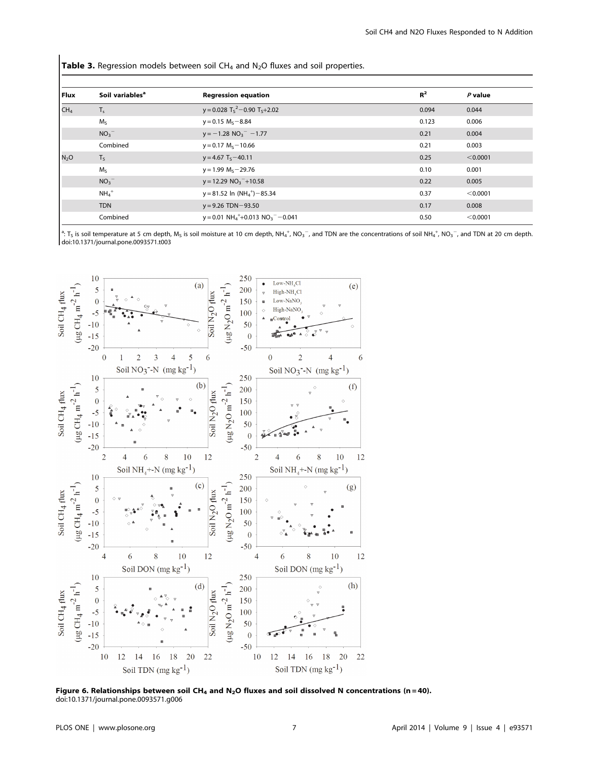**Table 3.** Regression models between soil  $CH_4$  and  $N_2O$  fluxes and soil properties.

| Flux             | Soil variables <sup>a</sup> | <b>Regression equation</b>                                                         | $R^2$ | $P$ value |
|------------------|-----------------------------|------------------------------------------------------------------------------------|-------|-----------|
| CH <sub>4</sub>  | $T_s$                       | $y = 0.028$ T <sub>S</sub> <sup>2</sup> – 0.90 T <sub>S</sub> +2.02                | 0.094 | 0.044     |
|                  | $M_S$                       | $y = 0.15 MS - 8.84$                                                               | 0.123 | 0.006     |
|                  | NO <sub>3</sub>             | $y = -1.28$ NO <sub>3</sub> <sup>-</sup> -1.77                                     | 0.21  | 0.004     |
|                  | Combined                    | $y = 0.17$ M <sub>s</sub> $-10.66$                                                 | 0.21  | 0.003     |
| N <sub>2</sub> O | T <sub>5</sub>              | $y = 4.67$ T <sub>s</sub> $-40.11$                                                 | 0.25  | < 0.0001  |
|                  | $M_S$                       | $y = 1.99$ M <sub>s</sub> $-29.76$                                                 | 0.10  | 0.001     |
|                  | NO <sub>3</sub>             | $y = 12.29 NO3-+10.58$                                                             | 0.22  | 0.005     |
|                  | $NH_4$ <sup>+</sup>         | $y = 81.52$ ln (NH <sub>4</sub> <sup>+</sup> ) - 85.34                             | 0.37  | < 0.0001  |
|                  | <b>TDN</b>                  | $y = 9.26$ TDN $-93.50$                                                            | 0.17  | 0.008     |
|                  | Combined                    | $y = 0.01$ NH <sub>4</sub> <sup>+</sup> +0.013 NO <sub>3</sub> <sup>-</sup> -0.041 | 0.50  | < 0.0001  |

<sup>a</sup>: T<sub>s</sub> is soil temperature at 5 cm depth, M<sub>S</sub> is soil moisture at 10 cm depth, NH<sub>4</sub><sup>+</sup>, NO<sub>3</sub><sup>-</sup>, and TDN are the concentrations of soil NH<sub>4</sub><sup>+</sup>, NO<sub>3</sub><sup>-</sup>, and TDN at 20 cm depth. doi:10.1371/journal.pone.0093571.t003



Figure 6. Relationships between soil CH<sub>4</sub> and N<sub>2</sub>O fluxes and soil dissolved N concentrations (n=40). doi:10.1371/journal.pone.0093571.g006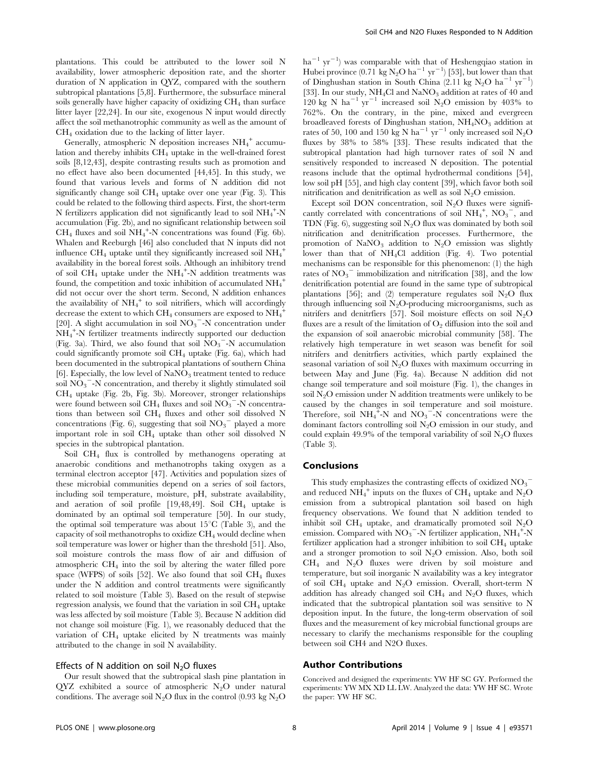plantations. This could be attributed to the lower soil N availability, lower atmospheric deposition rate, and the shorter duration of N application in QYZ, compared with the southern subtropical plantations [5,8]. Furthermore, the subsurface mineral soils generally have higher capacity of oxidizing  $CH<sub>4</sub>$  than surface litter layer [22,24]. In our site, exogenous N input would directly affect the soil methanotrophic community as well as the amount of CH4 oxidation due to the lacking of litter layer.

Generally, atmospheric N deposition increases NH<sub>4</sub><sup>+</sup> accumulation and thereby inhibits CH4 uptake in the well-drained forest soils [8,12,43], despite contrasting results such as promotion and no effect have also been documented [44,45]. In this study, we found that various levels and forms of N addition did not significantly change soil  $CH_4$  uptake over one year (Fig. 3). This could be related to the following third aspects. First, the short-term N fertilizers application did not significantly lead to soil NH<sub>4</sub><sup>+</sup>-N accumulation (Fig. 2b), and no significant relationship between soil  $CH_4$  fluxes and soil  $NH_4^+$ -N concentrations was found (Fig. 6b). Whalen and Reeburgh [46] also concluded that N inputs did not influence CH<sub>4</sub> uptake until they significantly increased soil  $\mathrm{NH}_4^+$ availability in the boreal forest soils. Although an inhibitory trend of soil  $\overrightarrow{CH}_4$  uptake under the NH<sub>4</sub><sup>+</sup>-N addition treatments was found, the competition and toxic inhibition of accumulated  $\mathrm{NH}_4^{\phantom{1} +}$ did not occur over the short term. Second, N addition enhances the availability of  $NH_4^+$  to soil nitrifiers, which will accordingly decrease the extent to which  $\rm CH_{4}$  consumers are exposed to  $\rm NH_4^+$ [20]. A slight accumulation in soil  $NO<sub>3</sub>$ <sup>-</sup>-N concentration under NH4 + -N fertilizer treatments indirectly supported our deduction (Fig. 3a). Third, we also found that soil  $\text{NO}_3$ <sup>-</sup>-N accumulation could significantly promote soil  $CH_4$  uptake (Fig. 6a), which had been documented in the subtropical plantations of southern China [6]. Especially, the low level of  $\text{NaNO}_3$  treatment tented to reduce soil  $\overline{NO_3}^-$ -N concentration, and thereby it slightly stimulated soil CH4 uptake (Fig. 2b, Fig. 3b). Moreover, stronger relationships were found between soil  $\overline{CH_4}$  fluxes and soil  $\overline{NO_3}^-$ -N concentrations than between soil CH4 fluxes and other soil dissolved N concentrations (Fig. 6), suggesting that soil  $NO<sub>3</sub><sup>-</sup>$  played a more important role in soil  $CH_4$  uptake than other soil dissolved N species in the subtropical plantation.

Soil CH4 flux is controlled by methanogens operating at anaerobic conditions and methanotrophs taking oxygen as a terminal electron acceptor [47]. Activities and population sizes of these microbial communities depend on a series of soil factors, including soil temperature, moisture, pH, substrate availability, and aeration of soil profile  $[19,48,49]$ . Soil CH<sub>4</sub> uptake is dominated by an optimal soil temperature [50]. In our study, the optimal soil temperature was about  $15^{\circ}$ C (Table 3), and the capacity of soil methanotrophs to oxidize  $CH<sub>4</sub>$  would decline when soil temperature was lower or higher than the threshold [51]. Also, soil moisture controls the mass flow of air and diffusion of atmospheric CH4 into the soil by altering the water filled pore space (WFPS) of soils [52]. We also found that soil  $CH_4$  fluxes under the N addition and control treatments were significantly related to soil moisture (Table 3). Based on the result of stepwise regression analysis, we found that the variation in soil  $CH<sub>4</sub>$  uptake was less affected by soil moisture (Table 3). Because N addition did not change soil moisture (Fig. 1), we reasonably deduced that the variation of  $CH_4$  uptake elicited by N treatments was mainly attributed to the change in soil N availability.

#### Effects of N addition on soil  $N<sub>2</sub>O$  fluxes

Our result showed that the subtropical slash pine plantation in  $QYZ$  exhibited a source of atmospheric N<sub>2</sub>O under natural conditions. The average soil N<sub>2</sub>O flux in the control (0.93 kg N<sub>2</sub>O

 $ha^{-1}$  yr<sup>-1</sup>) was comparable with that of Heshengqiao station in Hubei province (0.71 kg  $N_2O$  ha<sup>-1</sup> yr<sup>-1</sup>) [53], but lower than that of Dinghushan station in South China  $(2.11 \text{ kg } N_2O \text{ ha}^{-1} \text{ yr}^{-1})$ [33]. In our study,  $NH<sub>4</sub>Cl$  and  $NaNO<sub>3</sub>$  addition at rates of 40 and 120 kg N ha<sup>-1</sup> yr<sup>-1</sup> increased soil N<sub>2</sub>O emission by 403% to 762%. On the contrary, in the pine, mixed and evergreen broadleaved forests of Dinghushan station,  $NH<sub>4</sub>NO<sub>3</sub>$  addition at rates of 50, 100 and 150 kg N ha $^{-1}$  yr $^{-1}$  only increased soil N<sub>2</sub>O fluxes by 38% to 58% [33]. These results indicated that the subtropical plantation had high turnover rates of soil N and sensitively responded to increased N deposition. The potential reasons include that the optimal hydrothermal conditions [54], low soil pH [55], and high clay content [39], which favor both soil nitrification and denitrification as well as soil  $N_2O$  emission.

Except soil DON concentration, soil  $N_2O$  fluxes were significantly correlated with concentrations of soil  $NH_4^+$ ,  $NO_3^-$ , and TDN (Fig. 6), suggesting soil  $N_2O$  flux was dominated by both soil nitrification and denitrification processes. Furthermore, the promotion of  $\text{NaNO}_3$  addition to  $\text{N}_2\text{O}$  emission was slightly lower than that of NH4Cl addition (Fig. 4). Two potential mechanisms can be responsible for this phenomenon: (1) the high rates of  $NO_3$ <sup>-</sup> immobilization and nitrification [38], and the low denitrification potential are found in the same type of subtropical plantations [56]; and (2) temperature regulates soil  $N_2O$  flux through influencing soil  $N_2O$ -producing microorganisms, such as nitrifers and denitriers [57]. Soil moisture effects on soil  $N_2O$ fluxes are a result of the limitation of  $O_2$  diffusion into the soil and the expansion of soil anaerobic microbial community [58]. The relatively high temperature in wet season was benefit for soil nitrifers and denitrfiers activities, which partly explained the seasonal variation of soil  $N<sub>2</sub>O$  fluxes with maximum occurring in between May and June (Fig. 4a). Because N addition did not change soil temperature and soil moisture (Fig. 1), the changes in soil  $N<sub>2</sub>O$  emission under N addition treatments were unlikely to be caused by the changes in soil temperature and soil moisture. Therefore, soil  $NH_4^+$ -N and  $NO_3^-$ -N concentrations were the dominant factors controlling soil  $N_2O$  emission in our study, and could explain 49.9% of the temporal variability of soil  $N_2O$  fluxes (Table 3).

#### Conclusions

This study emphasizes the contrasting effects of oxidized  $\overline{{\rm NO}_3}^$ and reduced  $NH_4^+$  inputs on the fluxes of CH<sub>4</sub> uptake and N<sub>2</sub>O emission from a subtropical plantation soil based on high frequency observations. We found that N addition tended to inhibit soil CH<sub>4</sub> uptake, and dramatically promoted soil  $N_2O$ emission. Compared with  $\mathrm{NO_3}^-$ -N fertilizer application,  $\mathrm{NH_4}^+$ -N fertilizer application had a stronger inhibition to soil  $CH<sub>4</sub>$  uptake and a stronger promotion to soil  $N_2O$  emission. Also, both soil  $CH<sub>4</sub>$  and  $N<sub>2</sub>O$  fluxes were driven by soil moisture and temperature, but soil inorganic N availability was a key integrator of soil  $CH_4$  uptake and N<sub>2</sub>O emission. Overall, short-term N addition has already changed soil  $CH_4$  and  $N_2O$  fluxes, which indicated that the subtropical plantation soil was sensitive to N deposition input. In the future, the long-term observation of soil fluxes and the measurement of key microbial functional groups are necessary to clarify the mechanisms responsible for the coupling between soil CH4 and N2O fluxes.

## Author Contributions

Conceived and designed the experiments: YW HF SC GY. Performed the experiments: YW MX XD LL LW. Analyzed the data: YW HF SC. Wrote the paper: YW HF SC.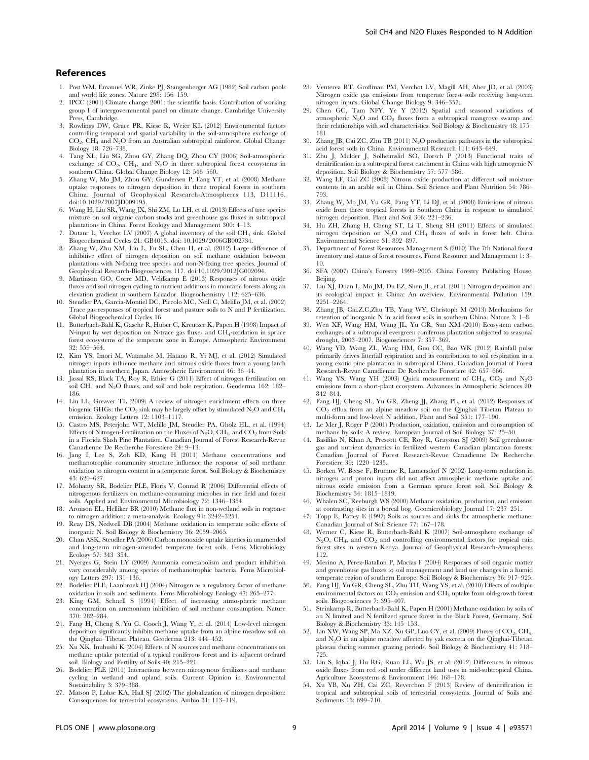#### References

- 1. Post WM, Emanuel WR, Zinke PJ, Stangenberger AG (1982) Soil carbon pools and world life zones. Nature 298: 156–159.
- 2. IPCC (2001) Climate change 2001: the scientific basis. Contribution of working group I of intergovernmental panel on climate change. Cambridge University Press, Cambridge.
- 3. Rowlings DW, Grace PR, Kiese R, Weier KL (2012) Environmental factors controlling temporal and spatial variability in the soil-atmosphere exchange of CO2, CH4 and N2O from an Australian subtropical rainforest. Global Change Biology 18: 726–738.
- 4. Tang XL, Liu SG, Zhou GY, Zhang DQ, Zhou CY (2006) Soil-atmospheric exchange of  $CO_2$ ,  $CH_4$ , and  $N_2O$  in three subtropical forest ecosystems in southern China. Global Change Biology 12: 546–560.
- 5. Zhang W, Mo JM, Zhou GY, Gundersen P, Fang YT, et al. (2008) Methane uptake responses to nitrogen deposition in three tropical forests in southern China. Journal of Geophysical Research-Atmospheres 113, D11116. doi:10.1029/2007JD009195.
- 6. Wang H, Liu SR, Wang JX, Shi ZM, Lu LH, et al. (2013) Effects of tree species mixture on soil organic carbon stocks and greenhouse gas fluxes in subtropical plantations in China. Forest Ecology and Management 300: 4–13.
- 7. Dutaur L, Verchot LV (2007) A global inventory of the soil  $CH_4$  sink. Global Biogeochemical Cycles 21: GB4013. doi: 10.1029/2006GB002734.
- 8. Zhang W, Zhu XM, Liu L, Fu SL, Chen H, et al. (2012) Large difference of inhibitive effect of nitrogen deposition on soil methane oxidation between plantations with N-fixing tree species and non-N-fixing tree species. Journal of Geophysical Research-Biogeosciences 117. doi:10.1029/2012JG002094.
- 9. Martinson GO, Corre MD, Veldkamp E (2013) Responses of nitrous oxide fluxes and soil nitrogen cycling to nutrient additions in montane forests along an elevation gradient in southern Ecuador. Biogeochemistry 112: 625–636.
- 10. Steudler PA, Garcia-Montiel DC, Piccolo MC, Neill C, Melillo JM, et al. (2002) Trace gas responses of tropical forest and pasture soils to N and P fertilization. Global Biogeochemical Cycles 16.
- 11. Butterbach-Bahl K, Gasche R, Huber C, Kreutzer K, Papen H (1998) Impact of N-input by wet deposition on N-trace gas fluxes and CH4-oxidation in spruce forest ecosystems of the temperate zone in Europe. Atmospheric Environment 32: 559–564.
- 12. Kim YS, Imori M, Watanabe M, Hatano R, Yi MJ, et al. (2012) Simulated nitrogen inputs influence methane and nitrous oxide fluxes from a young larch plantation in northern Japan. Atmospheric Environment 46: 36–44.
- 13. Jassal RS, Black TA, Roy R, Ethier G (2011) Effect of nitrogen fertilization on soil CH4 and N2O fluxes, and soil and bole respiration. Geoderma 162: 182– 186.
- 14. Liu LL, Greaver TL (2009) A review of nitrogen enrichment effects on three biogenic GHGs: the  $CO_2$  sink may be largely offset by stimulated  $N_2O$  and  $CH_4$ emission. Ecology Letters 12: 1103–1117.
- 15. Castro MS, Peterjohn WT, Melillo JM, Steudler PA, Gholz HL, et al. (1994) Effects of Nitrogen-Fertilization on the Fluxes of  $N_2O$ ,  $CH_4$ , and  $CO_2$  from Soils in a Florida Slash Pine Plantation. Canadian Journal of Forest Research-Revue Canadienne De Recherche Forestiere 24: 9–13.
- 16. Jang I, Lee S, Zoh KD, Kang H (2011) Methane concentrations and methanotrophic community structure influence the response of soil methane oxidation to nitrogen content in a temperate forest. Soil Biology & Biochemistry 43: 620–627.
- 17. Mohanty SR, Bodelier PLE, Floris V, Conrad R (2006) Differential effects of nitrogenous fertilizers on methane-consuming microbes in rice field and forest soils. Applied and Environmental Microbiology 72: 1346–1354.
- 18. Aronson EL, Helliker BR (2010) Methane flux in non-wetland soils in response to nitrogen addition: a meta-analysis. Ecology 91: 3242–3251.
- 19. Reay DS, Nedwell DB (2004) Methane oxidation in temperate soils: effects of inorganic N. Soil Biology & Biochemistry 36: 2059–2065.
- 20. Chan ASK, Steudler PA (2006) Carbon monoxide uptake kinetics in unamended and long-term nitrogen-amended temperate forest soils. Fems Microbiology Ecology 57: 343–354.
- 21. Nyerges G, Stein LY (2009) Ammonia cometabolism and product inhibition vary considerably among species of methanotrophic bacteria. Fems Microbiology Letters 297: 131–136.
- 22. Bodelier PLE, Laanbroek HJ (2004) Nitrogen as a regulatory factor of methane oxidation in soils and sediments. Fems Microbiology Ecology 47: 265–277.
- 23. King GM, Schnell S (1994) Effect of increasing atmospheric methane concentration on ammonium inhibition of soil methane consumption. Nature 370: 282–284.
- 24. Fang H, Cheng S, Yu G, Cooch J, Wang Y, et al. (2014) Low-level nitrogen deposition significantly inhibits methane uptake from an alpine meadow soil on the Qinghai–Tibetan Plateau. Geoderma 213: 444–452.
- 25. Xu XK, Inubushi K (2004) Effects of N sources and methane concentrations on methane uptake potential of a typical coniferous forest and its adjacent orchard soil. Biology and Fertility of Soils 40: 215–221.
- 26. Bodelier PLE (2011) Interactions between nitrogenous fertilizers and methane cycling in wetland and upland soils. Current Opinion in Environmental Sustainability 3: 379–388.
- 27. Matson P, Lohse KA, Hall SJ (2002) The globalization of nitrogen deposition: Consequences for terrestrial ecosystems. Ambio 31: 113–119.
- 28. Venterea RT, Groffman PM, Verchot LV, Magill AH, Aber JD, et al. (2003) Nitrogen oxide gas emissions from temperate forest soils receiving long-term
- nitrogen inputs. Global Change Biology 9: 346–357. 29. Chen GC, Tam NFY, Ye Y (2012) Spatial and seasonal variations of atmospheric  $N_2O$  and  $CO_2$  fluxes from a subtropical mangrove swamp and their relationships with soil characteristics. Soil Biology & Biochemistry 48: 175– 181.
- 30. Zhang JB, Cai ZC, Zhu TB (2011) N2O production pathways in the subtropical acid forest soils in China. Environmental Research 111: 643–649.
- 31. Zhu J, Mulder J, Solheimslid SO, Dorsch P (2013) Functional traits of denitrification in a subtropical forest catchment in China with high atmogenic N deposition. Soil Biology & Biochemistry 57: 577–586.
- 32. Wang LF, Cai ZC (2008) Nitrous oxide production at different soil moisture contents in an arable soil in China. Soil Science and Plant Nutrition 54: 786– 793.
- 33. Zhang W, Mo JM, Yu GR, Fang YT, Li DJ, et al. (2008) Emissions of nitrous oxide from three tropical forests in Southern China in response to simulated nitrogen deposition. Plant and Soil 306: 221–236.
- 34. Hu ZH, Zhang H, Cheng ST, Li T, Sheng SH (2011) Effects of simulated nitrogen deposition on  $N_2O$  and  $CH_4$  fluxes of soils in forest belt. China Environmental Science 31: 892–897.
- 35. Department of Forest Resources Management S (2010) The 7th National forest inventory and status of forest resources. Forest Resource and Management 1: 3– 10.
- 36. SFA (2007) China's Forestry 1999–2005. China Forestry Publishing House, Beijing.
- 37. Liu XJ, Duan L, Mo JM, Du EZ, Shen JL, et al. (2011) Nitrogen deposition and its ecological impact in China: An overview. Environmental Pollution 159: 2251–2264.
- 38. Zhang JB, Cai.Z.C,Zhu TB, Yang WY, Christoph M (2013) Mechanisms for retention of inorganic N in acid forest soils in southern China. Nature 3: 1–8.
- 39. Wen XF, Wang HM, Wang JL, Yu GR, Sun XM (2010) Ecosystem carbon exchanges of a subtropical evergreen coniferous plantation subjected to seasonal drought, 2003–2007. Biogeosciences 7: 357–369.
- 40. Wang YD, Wang ZL, Wang HM, Guo CC, Bao WK (2012) Rainfall pulse primarily drives litterfall respiration and its contribution to soil respiration in a young exotic pine plantation in subtropical China. Canadian Journal of Forest Research-Revue Canadienne De Recherche Forestiere 42: 657–666.
- 41. Wang YS, Wang YH (2003) Quick measurement of  $CH_4$ ,  $CO_2$  and  $N_2O$ emissions from a short-plant ecosystem. Advances in Atmospheric Sciences 20: 842–844.
- 42. Fang HJ, Cheng SL, Yu GR, Zheng JJ, Zhang PL, et al. (2012) Responses of CO2 efflux from an alpine meadow soil on the Qinghai Tibetan Plateau to multi-form and low-level N addition. Plant and Soil 351: 177–190.
- 43. Le Mer J, Roger P (2001) Production, oxidation, emission and consumption of methane by soils: A review. European Journal of Soil Biology 37: 25–50.
- 44. Basiliko N, Khan A, Prescott CE, Roy R, Grayston SJ (2009) Soil greenhouse gas and nutrient dynamics in fertilized western Canadian plantation forests. Canadian Journal of Forest Research-Revue Canadienne De Recherche Forestiere 39: 1220–1235.
- 45. Borken W, Beese F, Brumme R, Lamersdorf N (2002) Long-term reduction in nitrogen and proton inputs did not affect atmospheric methane uptake and nitrous oxide emission from a German spruce forest soil. Soil Biology & Biochemistry 34: 1815–1819.
- 46. Whalen SC, Reeburgh WS (2000) Methane oxidation, production, and emission at contrasting sites in a boreal bog. Geomicrobiology Journal 17: 237–251.
- 47. Topp E, Pattey E (1997) Soils as sources and sinks for atmospheric methane. Canadian Journal of Soil Science 77: 167–178.
- 48. Werner C, Kiese R, Butterbach-Bahl K (2007) Soil-atmosphere exchange of  $N_2O$ ,  $CH_4$ , and  $CO_2$  and controlling environmental factors for tropical rain forest sites in western Kenya. Journal of Geophysical Research-Atmospheres 112.
- 49. Merino A, Perez-Batallon P, Macias F (2004) Responses of soil organic matter and greenhouse gas fluxes to soil management and land use changes in a humid temperate region of southern Europe. Soil Biology & Biochemistry 36: 917–925.
- 50. Fang HJ, Yu GR, Cheng SL, Zhu TH, Wang YS, et al. (2010) Effects of multiple environmental factors on  $CO_2$  emission and  $CH_4$  uptake from old-growth forest soils. Biogeosciences 7: 395–407.
- 51. Steinkamp R, Butterbach-Bahl K, Papen H (2001) Methane oxidation by soils of an N limited and N fertilized spruce forest in the Black Forest, Germany. Soil Biology & Biochemistry 33: 145–153.
- 52. Lin XW, Wang SP, Ma XZ, Xu GP, Luo CY, et al. (2009) Fluxes of  $\rm CO_2, \rm CH_4,$ and  $\mathrm{N}_2\mathrm{O}$  in an alpine meadow affected by yak excreta on the Qinghai-Tibetan plateau during summer grazing periods. Soil Biology & Biochemistry 41: 718– 725.
- 53. Lin S, Iqbal J, Hu RG, Ruan LL, Wu JS, et al. (2012) Differences in nitrous oxide fluxes from red soil under different land uses in mid-subtropical China. Agriculture Ecosystems & Environment 146: 168–178.
- 54. Xu YB, Xu ZH, Cai ZC, Reverchon F (2013) Review of denitrification in tropical and subtropical soils of terrestrial ecosystems. Journal of Soils and Sediments 13: 699–710.